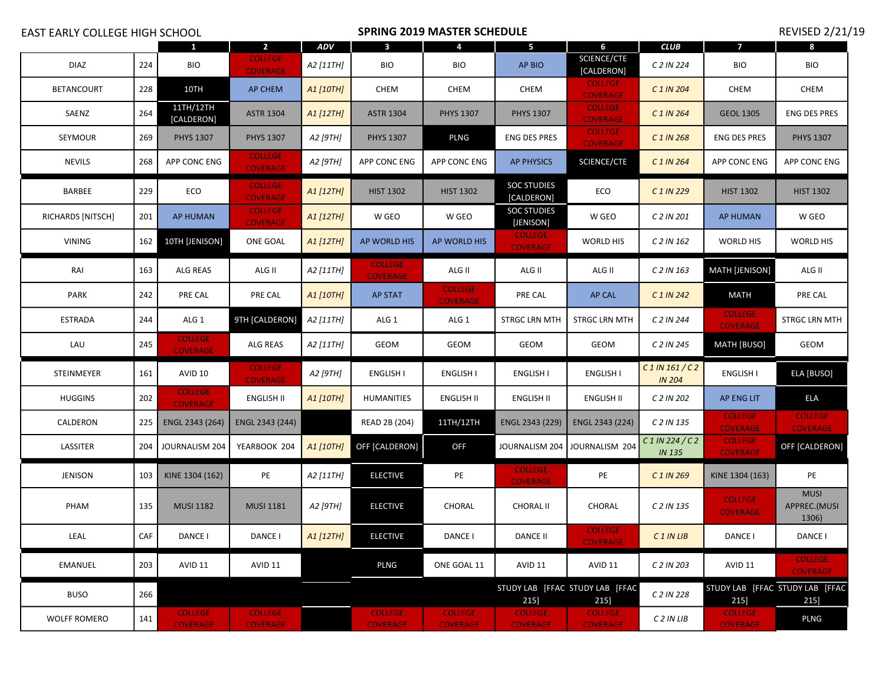| <b>EAST EARLY COLLEGE HIGH SCHOOL</b> |     |                                   | <b>SPRING 2019 MASTER SCHEDULE</b> |            |                                   |                                   |                                   | <b>REVISED 2/21/19</b>                  |                                  |                                   |                                         |
|---------------------------------------|-----|-----------------------------------|------------------------------------|------------|-----------------------------------|-----------------------------------|-----------------------------------|-----------------------------------------|----------------------------------|-----------------------------------|-----------------------------------------|
|                                       |     |                                   | $\mathbf{2}$                       | <b>ADV</b> | 3                                 | 4                                 | 5                                 | 6                                       | <b>CLUB</b>                      | 7                                 | 8                                       |
| <b>DIAZ</b>                           | 224 | <b>BIO</b>                        | <b>COLLEGE</b><br><b>COVERAGE</b>  | A2 [11TH]  | <b>BIO</b>                        | BIO                               | AP BIO                            | SCIENCE/CTE<br>[CALDERON]               | C 2 IN 224                       | <b>BIO</b>                        | <b>BIO</b>                              |
| <b>BETANCOURT</b>                     | 228 | 10TH                              | AP CHEM                            | A1 [10TH]  | <b>CHEM</b>                       | <b>CHEM</b>                       | <b>CHEM</b>                       | <b>COLLEGE</b><br><b>COVERAGE</b>       | C 1 IN 204                       | <b>CHEM</b>                       | CHEM                                    |
| SAENZ                                 | 264 | 11TH/12TH<br>[CALDERON]           | <b>ASTR 1304</b>                   | A1 [12TH]  | <b>ASTR 1304</b>                  | <b>PHYS 1307</b>                  | <b>PHYS 1307</b>                  | <b>COLLEGE</b><br><b>COVERAGE</b>       | C 1 IN 264                       | <b>GEOL 1305</b>                  | <b>ENG DES PRES</b>                     |
| SEYMOUR                               | 269 | <b>PHYS 1307</b>                  | <b>PHYS 1307</b>                   | A2 [9TH]   | <b>PHYS 1307</b>                  | <b>PLNG</b>                       | <b>ENG DES PRES</b>               | <b>COLLEGE</b><br><b>COVERAGE</b>       | C 1 IN 268                       | <b>ENG DES PRES</b>               | <b>PHYS 1307</b>                        |
| <b>NEVILS</b>                         | 268 | APP CONC ENG                      | <b>COLLEGE</b><br><b>COVERAGE</b>  | A2 [9TH]   | APP CONC ENG                      | APP CONC ENG                      | <b>AP PHYSICS</b>                 | SCIENCE/CTE                             | C 1 IN 264                       | APP CONC ENG                      | APP CONC ENG                            |
| BARBEE                                | 229 | ECO                               | <b>COLLEGE</b><br><b>COVERAGE</b>  | A1 [12TH]  | <b>HIST 1302</b>                  | <b>HIST 1302</b>                  | <b>SOC STUDIES</b><br>[CALDERON]  | ECO                                     | C 1 IN 229                       | <b>HIST 1302</b>                  | <b>HIST 1302</b>                        |
| RICHARDS [NITSCH]                     | 201 | AP HUMAN                          | <b>COLLEGE</b><br><b>COVERAGE</b>  | A1 [12TH]  | W GEO                             | W GEO                             | <b>SOC STUDIES</b><br>[JENISON]   | W GEO                                   | C 2 IN 201                       | AP HUMAN                          | W GEO                                   |
| <b>VINING</b>                         | 162 | 10TH [JENISON]                    | ONE GOAL                           | A1 [12TH]  | AP WORLD HIS                      | AP WORLD HIS                      | <b>COLLEGE</b><br><b>COVERAGE</b> | WORLD HIS                               | C 2 IN 162                       | <b>WORLD HIS</b>                  | WORLD HIS                               |
| RAI                                   | 163 | ALG REAS                          | ALG II                             | A2 [11TH]  | <b>COLLEGE</b><br><b>COVERAGE</b> | ALG II                            | ALG II                            | ALG II                                  | C 2 IN 163                       | <b>MATH [JENISON]</b>             | ALG II                                  |
| <b>PARK</b>                           | 242 | PRE CAL                           | PRE CAL                            | A1 [10TH]  | <b>AP STAT</b>                    | <b>COLLEGE</b><br><b>COVERAGE</b> | PRE CAL                           | AP CAL                                  | C 1 IN 242                       | <b>MATH</b>                       | PRE CAL                                 |
| ESTRADA                               | 244 | ALG 1                             | 9TH [CALDERON]                     | A2 [11TH]  | ALG 1                             | ALG 1                             | STRGC LRN MTH                     | STRGC LRN MTH                           | C 2 IN 244                       | <b>COLLEGE</b><br><b>COVERAGE</b> | STRGC LRN MTH                           |
| LAU                                   | 245 | <b>COLLEGE</b><br><b>COVERAGE</b> | ALG REAS                           | A2 [11TH]  | GEOM                              | GEOM                              | <b>GEOM</b>                       | GEOM                                    | C 2 IN 245                       | MATH [BUSO]                       | GEOM                                    |
| STEINMEYER                            | 161 | AVID 10                           | <b>COLLEGE</b><br><b>COVERAGE</b>  | A2 [9TH]   | <b>ENGLISH I</b>                  | <b>ENGLISH I</b>                  | <b>ENGLISH I</b>                  | ENGLISH I                               | $C$ 1 IN 161/C2<br><b>IN 204</b> | <b>ENGLISH I</b>                  | ELA [BUSO]                              |
| <b>HUGGINS</b>                        | 202 | <b>COLLEGE</b><br><b>COVERAGE</b> | ENGLISH II                         | A1 [10TH]  | <b>HUMANITIES</b>                 | <b>ENGLISH II</b>                 | ENGLISH II                        | ENGLISH II                              | C 2 IN 202                       | AP ENG LIT                        | ELA                                     |
| CALDERON                              | 225 | ENGL 2343 (264)                   | ENGL 2343 (244)                    |            | READ 2B (204)                     | 11TH/12TH                         | ENGL 2343 (229)                   | ENGL 2343 (224)                         | C 2 IN 135                       | <b>COLLEGE</b><br><b>COVERAGE</b> | <b>COLLEGE</b><br><b>COVERAGE</b>       |
| LASSITER                              | 204 | JOURNALISM 204                    | YEARBOOK 204                       | A1 [10TH]  | OFF [CALDERON]                    | <b>OFF</b>                        | JOURNALISM 204                    | JOURNALISM 204                          | $C1$ IN 224/C2<br><b>IN 135</b>  | <b>COLLEGE</b><br><b>COVERAGE</b> | OFF [CALDERON]                          |
| <b>JENISON</b>                        | 103 | KINE 1304 (162)                   | PE                                 | A2 [11TH]  | <b>ELECTIVE</b>                   | PE                                | <b>COLLEGE</b><br><b>COVERAGE</b> | PE                                      | C 1 IN 269                       | KINE 1304 (163)                   | PE                                      |
| PHAM                                  | 135 | <b>MUSI 1182</b>                  | <b>MUSI 1181</b>                   | A2 [9TH]   | <b>ELECTIVE</b>                   | CHORAL                            | <b>CHORAL II</b>                  | CHORAL                                  | C 2 IN 135                       | <b>COLLEGE</b><br><b>COVERAGE</b> | <b>MUSI</b><br>APPREC.(MUSI<br>1306)    |
| LEAL                                  | CAF | DANCE I                           | DANCE I                            | A1 [12TH]  | <b>ELECTIVE</b>                   | DANCE I                           | DANCE II                          | <b>COLLEGE</b><br><b>COVERAGE</b>       | C <sub>1</sub> IN LIB            | DANCE I                           | DANCE I                                 |
| <b>EMANUEL</b>                        | 203 | AVID 11                           | <b>AVID 11</b>                     |            | <b>PLNG</b>                       | ONE GOAL 11                       | AVID 11                           | AVID 11                                 | C 2 IN 203                       | AVID 11                           | <b>COLLEGE</b><br><b>COVERAGE</b>       |
| <b>BUSO</b>                           | 266 |                                   |                                    |            |                                   |                                   | 215]                              | STUDY LAB [FFAC STUDY LAB [FFAC<br>215] | C 2 IN 228                       | 215]                              | STUDY LAB [FFAC STUDY LAB [FFAC<br>215] |
| <b>WOLFF ROMERO</b>                   | 141 | <b>COLLEGE</b><br><b>COVERAGE</b> | <b>COLLEGE</b><br><b>COVERAGE</b>  |            | <b>COLLEGE</b><br><b>COVERAGE</b> | <b>COLLEGE</b><br><b>COVERAGE</b> | <b>COLLEGE</b><br><b>COVERAGE</b> | <b>COLLEGE</b><br><b>COVERAGE</b>       | C 2 IN LIB                       | <b>COLLEGE</b><br><b>COVERAGE</b> | <b>PLNG</b>                             |